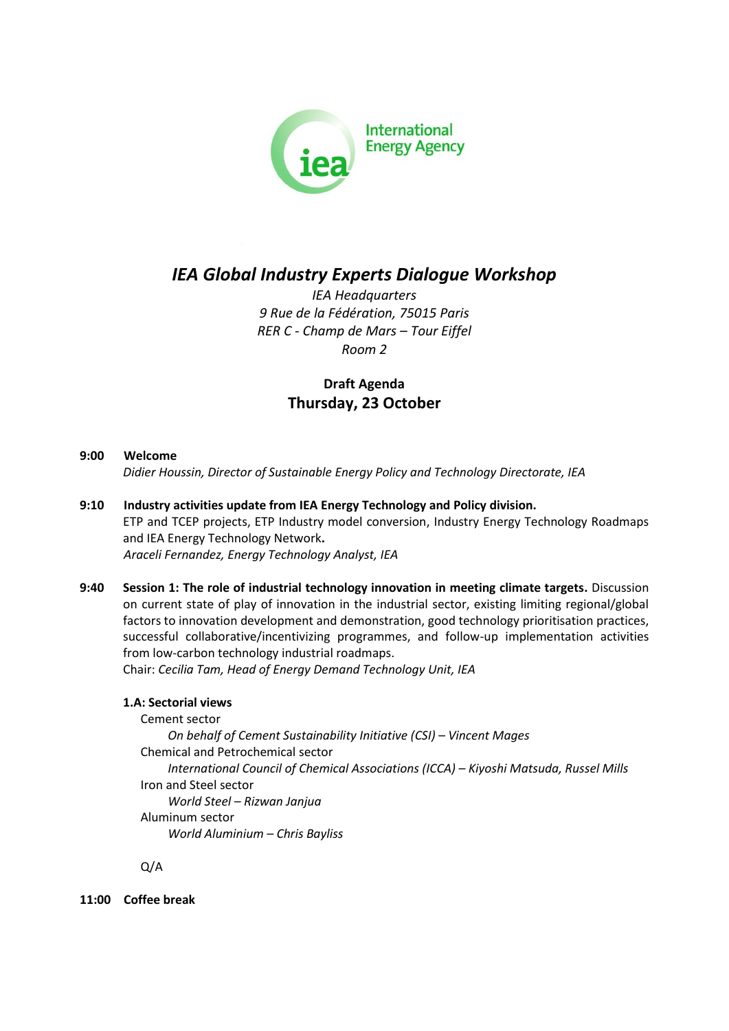

# *IEA Global Industry Experts Dialogue Workshop*

*IEA Headquarters 9 Rue de la Fédération, 75015 Paris RER C - Champ de Mars – Tour Eiffel Room 2*

# **Draft Agenda Thursday, 23 October**

# **9:00 Welcome**

*Didier Houssin, Director of Sustainable Energy Policy and Technology Directorate, IEA*

- **9:10 Industry activities update from IEA Energy Technology and Policy division.** ETP and TCEP projects, ETP Industry model conversion, Industry Energy Technology Roadmaps and IEA Energy Technology Network**.** *Araceli Fernandez, Energy Technology Analyst, IEA*
- **9:40 Session 1: The role of industrial technology innovation in meeting climate targets.** Discussion on current state of play of innovation in the industrial sector, existing limiting regional/global factors to innovation development and demonstration, good technology prioritisation practices, successful collaborative/incentivizing programmes, and follow-up implementation activities from low-carbon technology industrial roadmaps.

Chair: *Cecilia Tam, Head of Energy Demand Technology Unit, IEA*

# **1.A: Sectorial views**

Cement sector *On behalf of Cement Sustainability Initiative (CSI) – Vincent Mages* Chemical and Petrochemical sector *International Council of Chemical Associations (ICCA) – Kiyoshi Matsuda, Russel Mills* Iron and Steel sector *World Steel – Rizwan Janjua* Aluminum sector *World Aluminium – Chris Bayliss*

Q/A

**11:00 Coffee break**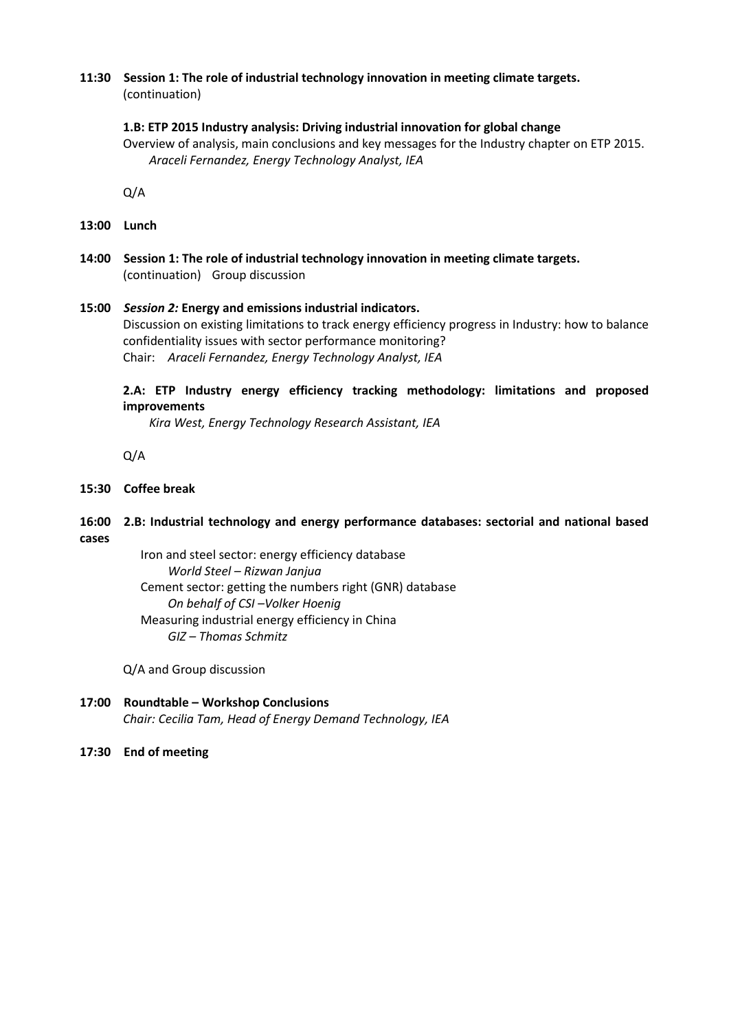#### **11:30 Session 1: The role of industrial technology innovation in meeting climate targets.**  (continuation)

#### **1.B: ETP 2015 Industry analysis: Driving industrial innovation for global change**

Overview of analysis, main conclusions and key messages for the Industry chapter on ETP 2015. *Araceli Fernandez, Energy Technology Analyst, IEA*

Q/A

- **13:00 Lunch**
- **14:00 Session 1: The role of industrial technology innovation in meeting climate targets.**  (continuation) Group discussion
- **15:00** *Session 2:* **Energy and emissions industrial indicators.** Discussion on existing limitations to track energy efficiency progress in Industry: how to balance confidentiality issues with sector performance monitoring? Chair: *Araceli Fernandez, Energy Technology Analyst, IEA*

# **2.A: ETP Industry energy efficiency tracking methodology: limitations and proposed improvements**

*Kira West, Energy Technology Research Assistant, IEA*

Q/A

#### **15:30 Coffee break**

# **16:00 2.B: Industrial technology and energy performance databases: sectorial and national based cases**

Iron and steel sector: energy efficiency database *World Steel – Rizwan Janjua* Cement sector: getting the numbers right (GNR) database *On behalf of CSI –Volker Hoenig* Measuring industrial energy efficiency in China *GIZ – Thomas Schmitz*

Q/A and Group discussion

**17:00 Roundtable – Workshop Conclusions** *Chair: Cecilia Tam, Head of Energy Demand Technology, IEA*

# **17:30 End of meeting**